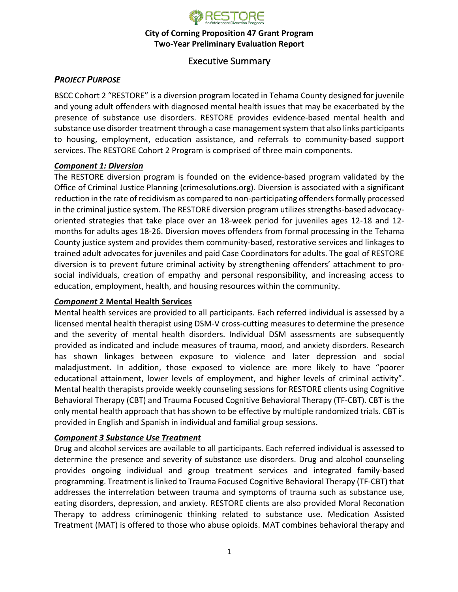

# Executive Summary

# *PROJECT PURPOSE*

BSCC Cohort 2 "RESTORE" is a diversion program located in Tehama County designed for juvenile and young adult offenders with diagnosed mental health issues that may be exacerbated by the presence of substance use disorders. RESTORE provides evidence-based mental health and substance use disorder treatment through a case management system that also links participants to housing, employment, education assistance, and referrals to community-based support services. The RESTORE Cohort 2 Program is comprised of three main components.

#### *Component 1: Diversion*

The RESTORE diversion program is founded on the evidence-based program validated by the Office of Criminal Justice Planning (crimesolutions.org). Diversion is associated with a significant reduction in the rate of recidivism as compared to non-participating offenders formally processed in the criminal justice system. The RESTORE diversion program utilizes strengths-based advocacyoriented strategies that take place over an 18-week period for juveniles ages 12-18 and 12 months for adults ages 18-26. Diversion moves offenders from formal processing in the Tehama County justice system and provides them community-based, restorative services and linkages to trained adult advocates for juveniles and paid Case Coordinators for adults. The goal of RESTORE diversion is to prevent future criminal activity by strengthening offenders' attachment to prosocial individuals, creation of empathy and personal responsibility, and increasing access to education, employment, health, and housing resources within the community.

#### *Component* **2 Mental Health Services**

Mental health services are provided to all participants. Each referred individual is assessed by a licensed mental health therapist using DSM-V cross-cutting measures to determine the presence and the severity of mental health disorders. Individual DSM assessments are subsequently provided as indicated and include measures of trauma, mood, and anxiety disorders. Research has shown linkages between exposure to violence and later depression and social maladjustment. In addition, those exposed to violence are more likely to have "poorer educational attainment, lower levels of employment, and higher levels of criminal activity". Mental health therapists provide weekly counseling sessions for RESTORE clients using Cognitive Behavioral Therapy (CBT) and Trauma Focused Cognitive Behavioral Therapy (TF-CBT). CBT is the only mental health approach that has shown to be effective by multiple randomized trials. CBT is provided in English and Spanish in individual and familial group sessions.

## *Component 3 Substance Use Treatment*

Drug and alcohol services are available to all participants. Each referred individual is assessed to determine the presence and severity of substance use disorders. Drug and alcohol counseling provides ongoing individual and group treatment services and integrated family-based programming. Treatment is linked to Trauma Focused Cognitive Behavioral Therapy (TF-CBT) that addresses the interrelation between trauma and symptoms of trauma such as substance use, eating disorders, depression, and anxiety. RESTORE clients are also provided Moral Reconation Therapy to address criminogenic thinking related to substance use. Medication Assisted Treatment (MAT) is offered to those who abuse opioids. MAT combines behavioral therapy and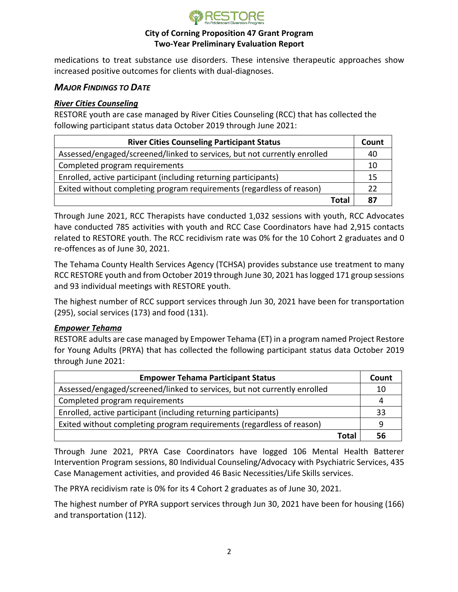

medications to treat substance use disorders. These intensive therapeutic approaches show increased positive outcomes for clients with dual-diagnoses.

## *MAJOR FINDINGS TO DATE*

#### *River Cities Counseling*

RESTORE youth are case managed by River Cities Counseling (RCC) that has collected the following participant status data October 2019 through June 2021:

| <b>River Cities Counseling Participant Status</b>                        | Count |
|--------------------------------------------------------------------------|-------|
| Assessed/engaged/screened/linked to services, but not currently enrolled | 40    |
| Completed program requirements                                           | 10    |
| Enrolled, active participant (including returning participants)          | 15    |
| Exited without completing program requirements (regardless of reason)    | 22    |
| Total                                                                    | 87    |

Through June 2021, RCC Therapists have conducted 1,032 sessions with youth, RCC Advocates have conducted 785 activities with youth and RCC Case Coordinators have had 2,915 contacts related to RESTORE youth. The RCC recidivism rate was 0% for the 10 Cohort 2 graduates and 0 re-offences as of June 30, 2021.

The Tehama County Health Services Agency (TCHSA) provides substance use treatment to many RCC RESTORE youth and from October 2019 through June 30, 2021 has logged 171 group sessions and 93 individual meetings with RESTORE youth.

The highest number of RCC support services through Jun 30, 2021 have been for transportation (295), social services (173) and food (131).

#### *Empower Tehama*

RESTORE adults are case managed by Empower Tehama (ET) in a program named Project Restore for Young Adults (PRYA) that has collected the following participant status data October 2019 through June 2021:

| <b>Empower Tehama Participant Status</b>                                 | Count |
|--------------------------------------------------------------------------|-------|
| Assessed/engaged/screened/linked to services, but not currently enrolled | 10    |
| Completed program requirements                                           | 4     |
| Enrolled, active participant (including returning participants)          | 33    |
| Exited without completing program requirements (regardless of reason)    | q     |
| Total                                                                    | 56    |

Through June 2021, PRYA Case Coordinators have logged 106 Mental Health Batterer Intervention Program sessions, 80 Individual Counseling/Advocacy with Psychiatric Services, 435 Case Management activities, and provided 46 Basic Necessities/Life Skills services.

The PRYA recidivism rate is 0% for its 4 Cohort 2 graduates as of June 30, 2021.

The highest number of PYRA support services through Jun 30, 2021 have been for housing (166) and transportation (112).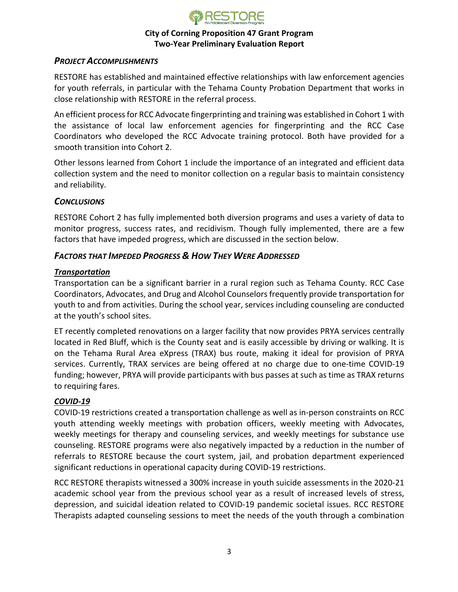

## *PROJECT ACCOMPLISHMENTS*

RESTORE has established and maintained effective relationships with law enforcement agencies for youth referrals, in particular with the Tehama County Probation Department that works in close relationship with RESTORE in the referral process.

An efficient process for RCC Advocate fingerprinting and training was established in Cohort 1 with the assistance of local law enforcement agencies for fingerprinting and the RCC Case Coordinators who developed the RCC Advocate training protocol. Both have provided for a smooth transition into Cohort 2.

Other lessons learned from Cohort 1 include the importance of an integrated and efficient data collection system and the need to monitor collection on a regular basis to maintain consistency and reliability.

## *CONCLUSIONS*

RESTORE Cohort 2 has fully implemented both diversion programs and uses a variety of data to monitor progress, success rates, and recidivism. Though fully implemented, there are a few factors that have impeded progress, which are discussed in the section below.

## *FACTORS THAT IMPEDED PROGRESS & HOW THEY WERE ADDRESSED*

#### *Transportation*

Transportation can be a significant barrier in a rural region such as Tehama County. RCC Case Coordinators, Advocates, and Drug and Alcohol Counselors frequently provide transportation for youth to and from activities. During the school year, services including counseling are conducted at the youth's school sites.

ET recently completed renovations on a larger facility that now provides PRYA services centrally located in Red Bluff, which is the County seat and is easily accessible by driving or walking. It is on the Tehama Rural Area eXpress (TRAX) bus route, making it ideal for provision of PRYA services. Currently, TRAX services are being offered at no charge due to one-time COVID-19 funding; however, PRYA will provide participants with bus passes at such as time as TRAX returns to requiring fares.

#### *COVID-19*

COVID-19 restrictions created a transportation challenge as well as in-person constraints on RCC youth attending weekly meetings with probation officers, weekly meeting with Advocates, weekly meetings for therapy and counseling services, and weekly meetings for substance use counseling. RESTORE programs were also negatively impacted by a reduction in the number of referrals to RESTORE because the court system, jail, and probation department experienced significant reductions in operational capacity during COVID-19 restrictions.

RCC RESTORE therapists witnessed a 300% increase in youth suicide assessments in the 2020-21 academic school year from the previous school year as a result of increased levels of stress, depression, and suicidal ideation related to COVID-19 pandemic societal issues. RCC RESTORE Therapists adapted counseling sessions to meet the needs of the youth through a combination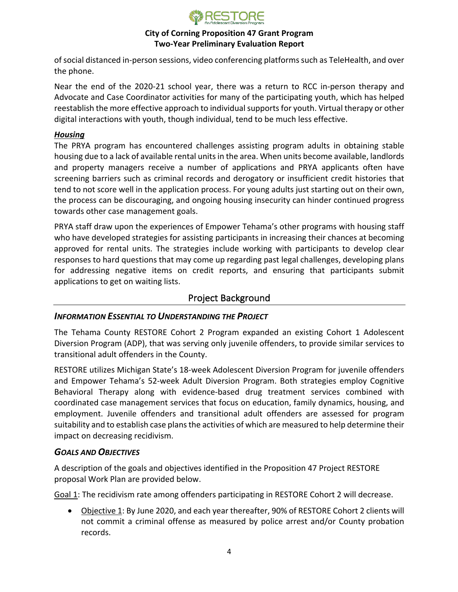

of social distanced in-person sessions, video conferencing platforms such as TeleHealth, and over the phone.

Near the end of the 2020-21 school year, there was a return to RCC in-person therapy and Advocate and Case Coordinator activities for many of the participating youth, which has helped reestablish the more effective approach to individual supports for youth. Virtual therapy or other digital interactions with youth, though individual, tend to be much less effective.

## *Housing*

The PRYA program has encountered challenges assisting program adults in obtaining stable housing due to a lack of available rental units in the area. When units become available, landlords and property managers receive a number of applications and PRYA applicants often have screening barriers such as criminal records and derogatory or insufficient credit histories that tend to not score well in the application process. For young adults just starting out on their own, the process can be discouraging, and ongoing housing insecurity can hinder continued progress towards other case management goals.

PRYA staff draw upon the experiences of Empower Tehama's other programs with housing staff who have developed strategies for assisting participants in increasing their chances at becoming approved for rental units. The strategies include working with participants to develop clear responses to hard questions that may come up regarding past legal challenges, developing plans for addressing negative items on credit reports, and ensuring that participants submit applications to get on waiting lists.

# Project Background

## *INFORMATION ESSENTIAL TO UNDERSTANDING THE PROJECT*

The Tehama County RESTORE Cohort 2 Program expanded an existing Cohort 1 Adolescent Diversion Program (ADP), that was serving only juvenile offenders, to provide similar services to transitional adult offenders in the County.

RESTORE utilizes Michigan State's 18-week Adolescent Diversion Program for juvenile offenders and Empower Tehama's 52-week Adult Diversion Program. Both strategies employ Cognitive Behavioral Therapy along with evidence-based drug treatment services combined with coordinated case management services that focus on education, family dynamics, housing, and employment. Juvenile offenders and transitional adult offenders are assessed for program suitability and to establish case plans the activities of which are measured to help determine their impact on decreasing recidivism.

## *GOALS AND OBJECTIVES*

A description of the goals and objectives identified in the Proposition 47 Project RESTORE proposal Work Plan are provided below.

Goal 1: The recidivism rate among offenders participating in RESTORE Cohort 2 will decrease.

• Objective 1: By June 2020, and each year thereafter, 90% of RESTORE Cohort 2 clients will not commit a criminal offense as measured by police arrest and/or County probation records.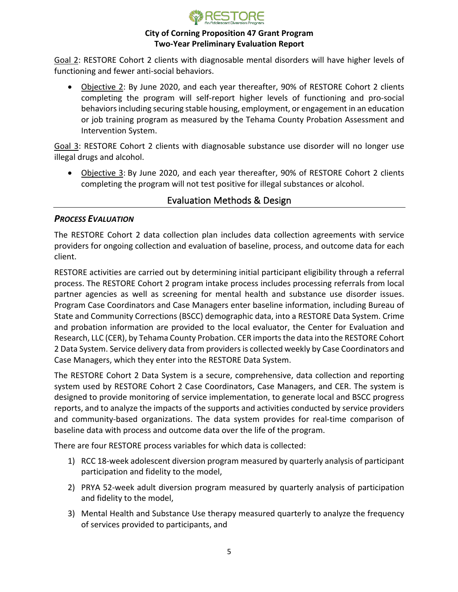

Goal 2: RESTORE Cohort 2 clients with diagnosable mental disorders will have higher levels of functioning and fewer anti-social behaviors.

• Objective 2: By June 2020, and each year thereafter, 90% of RESTORE Cohort 2 clients completing the program will self-report higher levels of functioning and pro-social behaviors including securing stable housing, employment, or engagement in an education or job training program as measured by the Tehama County Probation Assessment and Intervention System.

Goal 3: RESTORE Cohort 2 clients with diagnosable substance use disorder will no longer use illegal drugs and alcohol.

• Objective 3: By June 2020, and each year thereafter, 90% of RESTORE Cohort 2 clients completing the program will not test positive for illegal substances or alcohol.

# Evaluation Methods & Design

## *PROCESS EVALUATION*

The RESTORE Cohort 2 data collection plan includes data collection agreements with service providers for ongoing collection and evaluation of baseline, process, and outcome data for each client.

RESTORE activities are carried out by determining initial participant eligibility through a referral process. The RESTORE Cohort 2 program intake process includes processing referrals from local partner agencies as well as screening for mental health and substance use disorder issues. Program Case Coordinators and Case Managers enter baseline information, including Bureau of State and Community Corrections (BSCC) demographic data, into a RESTORE Data System. Crime and probation information are provided to the local evaluator, the Center for Evaluation and Research, LLC (CER), by Tehama County Probation. CER importsthe data into the RESTORE Cohort 2 Data System. Service delivery data from providers is collected weekly by Case Coordinators and Case Managers, which they enter into the RESTORE Data System.

The RESTORE Cohort 2 Data System is a secure, comprehensive, data collection and reporting system used by RESTORE Cohort 2 Case Coordinators, Case Managers, and CER. The system is designed to provide monitoring of service implementation, to generate local and BSCC progress reports, and to analyze the impacts of the supports and activities conducted by service providers and community-based organizations. The data system provides for real-time comparison of baseline data with process and outcome data over the life of the program.

There are four RESTORE process variables for which data is collected:

- 1) RCC 18-week adolescent diversion program measured by quarterly analysis of participant participation and fidelity to the model,
- 2) PRYA 52-week adult diversion program measured by quarterly analysis of participation and fidelity to the model,
- 3) Mental Health and Substance Use therapy measured quarterly to analyze the frequency of services provided to participants, and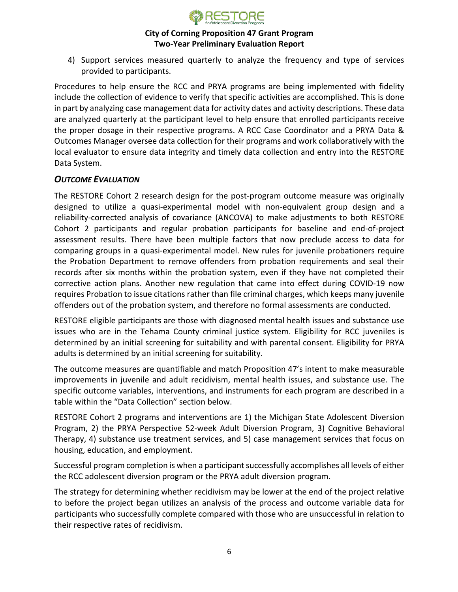

4) Support services measured quarterly to analyze the frequency and type of services provided to participants.

Procedures to help ensure the RCC and PRYA programs are being implemented with fidelity include the collection of evidence to verify that specific activities are accomplished. This is done in part by analyzing case management data for activity dates and activity descriptions. These data are analyzed quarterly at the participant level to help ensure that enrolled participants receive the proper dosage in their respective programs. A RCC Case Coordinator and a PRYA Data & Outcomes Manager oversee data collection for their programs and work collaboratively with the local evaluator to ensure data integrity and timely data collection and entry into the RESTORE Data System.

## *OUTCOME EVALUATION*

The RESTORE Cohort 2 research design for the post-program outcome measure was originally designed to utilize a quasi-experimental model with non-equivalent group design and a reliability-corrected analysis of covariance (ANCOVA) to make adjustments to both RESTORE Cohort 2 participants and regular probation participants for baseline and end-of-project assessment results. There have been multiple factors that now preclude access to data for comparing groups in a quasi-experimental model. New rules for juvenile probationers require the Probation Department to remove offenders from probation requirements and seal their records after six months within the probation system, even if they have not completed their corrective action plans. Another new regulation that came into effect during COVID-19 now requires Probation to issue citations rather than file criminal charges, which keeps many juvenile offenders out of the probation system, and therefore no formal assessments are conducted.

RESTORE eligible participants are those with diagnosed mental health issues and substance use issues who are in the Tehama County criminal justice system. Eligibility for RCC juveniles is determined by an initial screening for suitability and with parental consent. Eligibility for PRYA adults is determined by an initial screening for suitability.

The outcome measures are quantifiable and match Proposition 47's intent to make measurable improvements in juvenile and adult recidivism, mental health issues, and substance use. The specific outcome variables, interventions, and instruments for each program are described in a table within the "Data Collection" section below.

RESTORE Cohort 2 programs and interventions are 1) the Michigan State Adolescent Diversion Program, 2) the PRYA Perspective 52-week Adult Diversion Program, 3) Cognitive Behavioral Therapy, 4) substance use treatment services, and 5) case management services that focus on housing, education, and employment.

Successful program completion is when a participant successfully accomplishes all levels of either the RCC adolescent diversion program or the PRYA adult diversion program.

The strategy for determining whether recidivism may be lower at the end of the project relative to before the project began utilizes an analysis of the process and outcome variable data for participants who successfully complete compared with those who are unsuccessful in relation to their respective rates of recidivism.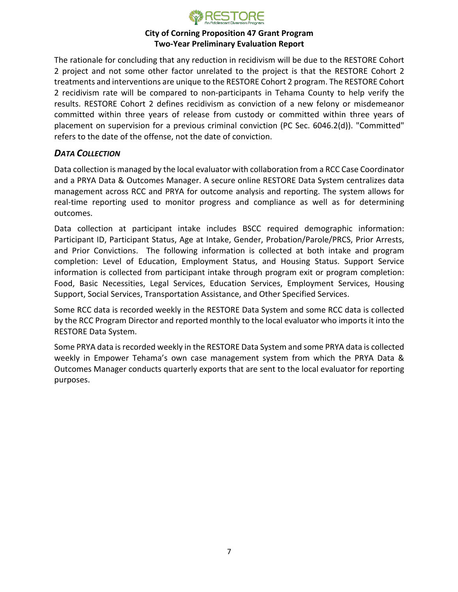

The rationale for concluding that any reduction in recidivism will be due to the RESTORE Cohort 2 project and not some other factor unrelated to the project is that the RESTORE Cohort 2 treatments and interventions are unique to the RESTORE Cohort 2 program. The RESTORE Cohort 2 recidivism rate will be compared to non-participants in Tehama County to help verify the results. RESTORE Cohort 2 defines recidivism as conviction of a new felony or misdemeanor committed within three years of release from custody or committed within three years of placement on supervision for a previous criminal conviction (PC Sec. 6046.2(d)). "Committed" refers to the date of the offense, not the date of conviction.

## *DATA COLLECTION*

Data collection is managed by the local evaluator with collaboration from a RCC Case Coordinator and a PRYA Data & Outcomes Manager. A secure online RESTORE Data System centralizes data management across RCC and PRYA for outcome analysis and reporting. The system allows for real-time reporting used to monitor progress and compliance as well as for determining outcomes.

Data collection at participant intake includes BSCC required demographic information: Participant ID, Participant Status, Age at Intake, Gender, Probation/Parole/PRCS, Prior Arrests, and Prior Convictions. The following information is collected at both intake and program completion: Level of Education, Employment Status, and Housing Status. Support Service information is collected from participant intake through program exit or program completion: Food, Basic Necessities, Legal Services, Education Services, Employment Services, Housing Support, Social Services, Transportation Assistance, and Other Specified Services.

Some RCC data is recorded weekly in the RESTORE Data System and some RCC data is collected by the RCC Program Director and reported monthly to the local evaluator who imports it into the RESTORE Data System.

Some PRYA data is recorded weekly in the RESTORE Data System and some PRYA data is collected weekly in Empower Tehama's own case management system from which the PRYA Data & Outcomes Manager conducts quarterly exports that are sent to the local evaluator for reporting purposes.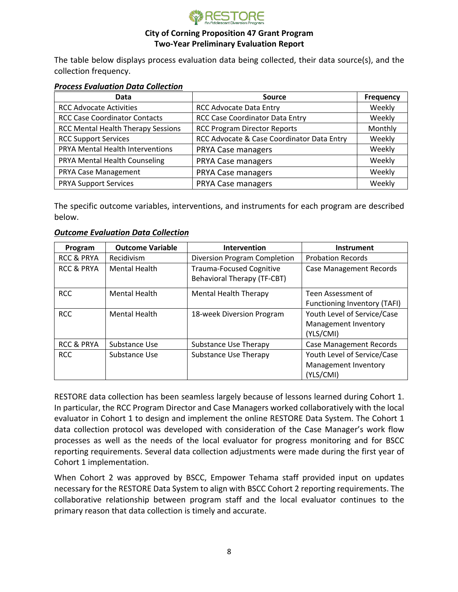

The table below displays process evaluation data being collected, their data source(s), and the collection frequency.

#### *Process Evaluation Data Collection*

| Data                                      | <b>Source</b>                              | <b>Frequency</b> |
|-------------------------------------------|--------------------------------------------|------------------|
| <b>RCC Advocate Activities</b>            | <b>RCC Advocate Data Entry</b>             | Weekly           |
| <b>RCC Case Coordinator Contacts</b>      | RCC Case Coordinator Data Entry            | Weekly           |
| <b>RCC Mental Health Therapy Sessions</b> | <b>RCC Program Director Reports</b>        | Monthly          |
| <b>RCC Support Services</b>               | RCC Advocate & Case Coordinator Data Entry | Weekly           |
| PRYA Mental Health Interventions          | PRYA Case managers                         | Weekly           |
| PRYA Mental Health Counseling             | PRYA Case managers                         | Weekly           |
| PRYA Case Management                      | PRYA Case managers                         | Weekly           |
| <b>PRYA Support Services</b>              | <b>PRYA Case managers</b>                  | Weekly           |

The specific outcome variables, interventions, and instruments for each program are described below.

#### *Outcome Evaluation Data Collection*

| Program               | <b>Outcome Variable</b> | Intervention                                                   | <b>Instrument</b>              |
|-----------------------|-------------------------|----------------------------------------------------------------|--------------------------------|
| <b>RCC &amp; PRYA</b> | Recidivism              | Diversion Program Completion                                   | <b>Probation Records</b>       |
| <b>RCC &amp; PRYA</b> | <b>Mental Health</b>    | <b>Trauma-Focused Cognitive</b><br>Behavioral Therapy (TF-CBT) | <b>Case Management Records</b> |
| <b>RCC</b>            | <b>Mental Health</b>    | Mental Health Therapy                                          | Teen Assessment of             |
|                       |                         |                                                                | Functioning Inventory (TAFI)   |
| <b>RCC</b>            | <b>Mental Health</b>    | 18-week Diversion Program                                      | Youth Level of Service/Case    |
|                       |                         |                                                                | Management Inventory           |
|                       |                         |                                                                | (YLS/CMI)                      |
| <b>RCC &amp; PRYA</b> | Substance Use           | <b>Substance Use Therapy</b>                                   | <b>Case Management Records</b> |
| <b>RCC</b>            | Substance Use           | <b>Substance Use Therapy</b>                                   | Youth Level of Service/Case    |
|                       |                         |                                                                | Management Inventory           |
|                       |                         |                                                                | (YLS/CMI)                      |

RESTORE data collection has been seamless largely because of lessons learned during Cohort 1. In particular, the RCC Program Director and Case Managers worked collaboratively with the local evaluator in Cohort 1 to design and implement the online RESTORE Data System. The Cohort 1 data collection protocol was developed with consideration of the Case Manager's work flow processes as well as the needs of the local evaluator for progress monitoring and for BSCC reporting requirements. Several data collection adjustments were made during the first year of Cohort 1 implementation.

When Cohort 2 was approved by BSCC, Empower Tehama staff provided input on updates necessary for the RESTORE Data System to align with BSCC Cohort 2 reporting requirements. The collaborative relationship between program staff and the local evaluator continues to the primary reason that data collection is timely and accurate.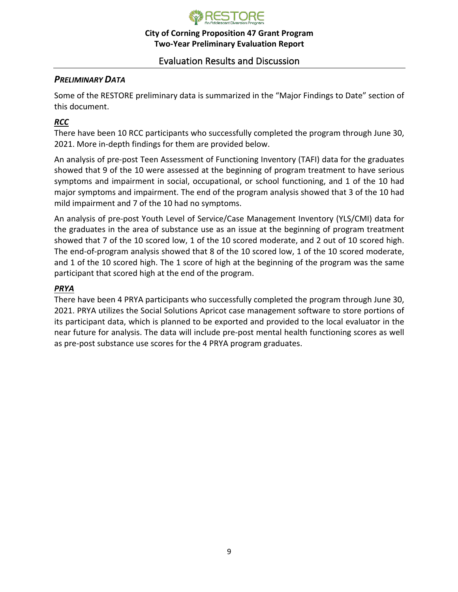

# Evaluation Results and Discussion

## *PRELIMINARY DATA*

Some of the RESTORE preliminary data is summarized in the "Major Findings to Date" section of this document.

# *RCC*

There have been 10 RCC participants who successfully completed the program through June 30, 2021. More in-depth findings for them are provided below.

An analysis of pre-post Teen Assessment of Functioning Inventory (TAFI) data for the graduates showed that 9 of the 10 were assessed at the beginning of program treatment to have serious symptoms and impairment in social, occupational, or school functioning, and 1 of the 10 had major symptoms and impairment. The end of the program analysis showed that 3 of the 10 had mild impairment and 7 of the 10 had no symptoms.

An analysis of pre-post Youth Level of Service/Case Management Inventory (YLS/CMI) data for the graduates in the area of substance use as an issue at the beginning of program treatment showed that 7 of the 10 scored low, 1 of the 10 scored moderate, and 2 out of 10 scored high. The end-of-program analysis showed that 8 of the 10 scored low, 1 of the 10 scored moderate, and 1 of the 10 scored high. The 1 score of high at the beginning of the program was the same participant that scored high at the end of the program.

## *PRYA*

There have been 4 PRYA participants who successfully completed the program through June 30, 2021. PRYA utilizes the Social Solutions Apricot case management software to store portions of its participant data, which is planned to be exported and provided to the local evaluator in the near future for analysis. The data will include pre-post mental health functioning scores as well as pre-post substance use scores for the 4 PRYA program graduates.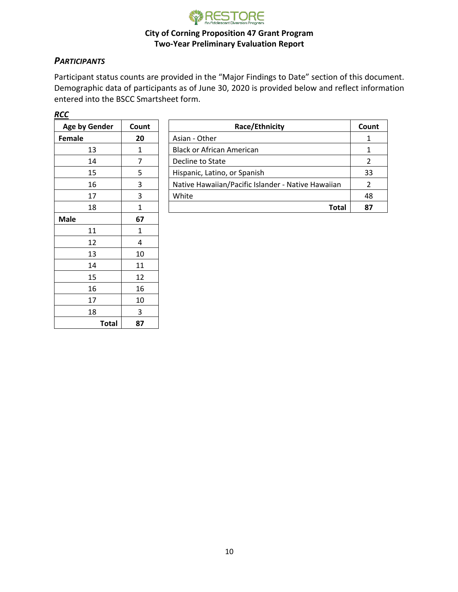

# *PARTICIPANTS*

Participant status counts are provided in the "Major Findings to Date" section of this document. Demographic data of participants as of June 30, 2020 is provided below and reflect information entered into the BSCC Smartsheet form.

| Age by Gender | Count |  |
|---------------|-------|--|
| Female        | 20    |  |
| 13            | 1     |  |
| 14            | 7     |  |
| 15            | 5     |  |
| 16            | 3     |  |
| 17            | 3     |  |
| 18            | 1     |  |
| <b>Male</b>   | 67    |  |
| 11            | 1     |  |
| 12            | 4     |  |
| 13            | 10    |  |
| 14            | 11    |  |
| 15            | 12    |  |
| 16            | 16    |  |
| 17            | 10    |  |
| 18            | 3     |  |
| Total         | 87    |  |

| Count | Race/Ethnicity                                     | Count |
|-------|----------------------------------------------------|-------|
| 20    | Asian - Other                                      |       |
|       | <b>Black or African American</b>                   |       |
|       | Decline to State                                   |       |
|       | Hispanic, Latino, or Spanish                       | 33    |
| 3     | Native Hawaiian/Pacific Islander - Native Hawaiian |       |
| 3     | White                                              | 48    |
|       | Total                                              | 87    |
|       |                                                    |       |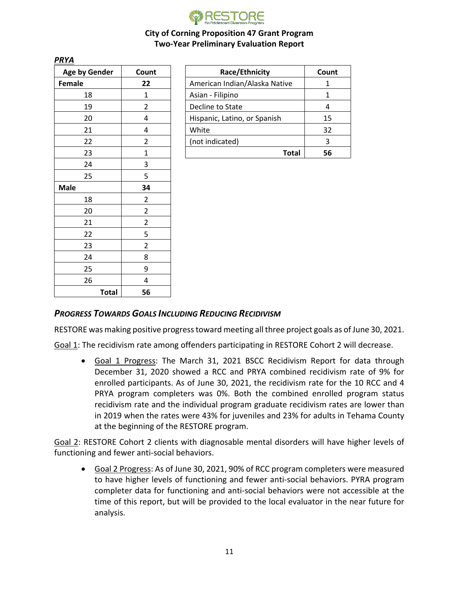

| Age by Gender |              | Count                   |
|---------------|--------------|-------------------------|
| <b>Female</b> |              | 22                      |
| 18            |              | 1                       |
| 19            |              | $\overline{\mathbf{c}}$ |
| 20            |              | 4                       |
| 21            |              | 4                       |
| 22            |              | $\overline{2}$          |
| 23            |              | $\mathbf 1$             |
| 24            |              | 3                       |
| 25            |              | 5                       |
| <b>Male</b>   |              | 34                      |
| 18            |              | $\overline{\mathbf{c}}$ |
| 20            |              | $\overline{\mathbf{c}}$ |
| 21            |              | $\overline{2}$          |
| 22            |              | 5                       |
| 23            |              | $\overline{c}$          |
| 24            |              | 8                       |
| 25            |              | 9                       |
| 26            |              | 4                       |
|               | <b>Total</b> | 56                      |

*PRYA*

| Age by Gender | Count | Race/Ethnicity                | Count |
|---------------|-------|-------------------------------|-------|
| Female        | 22    | American Indian/Alaska Native |       |
| 18            |       | Asian - Filipino              |       |
| 19            |       | Decline to State              |       |
| 20            |       | Hispanic, Latino, or Spanish  | 15    |
| 21            |       | White                         | 32    |
| 22            |       | (not indicated)               | 3     |
| 23            |       | Total                         | 56    |

## *PROGRESS TOWARDS GOALS INCLUDING REDUCING RECIDIVISM*

RESTORE was making positive progress toward meeting all three project goals as of June 30, 2021.

Goal 1: The recidivism rate among offenders participating in RESTORE Cohort 2 will decrease.

• Goal 1 Progress: The March 31, 2021 BSCC Recidivism Report for data through December 31, 2020 showed a RCC and PRYA combined recidivism rate of 9% for enrolled participants. As of June 30, 2021, the recidivism rate for the 10 RCC and 4 PRYA program completers was 0%. Both the combined enrolled program status recidivism rate and the individual program graduate recidivism rates are lower than in 2019 when the rates were 43% for juveniles and 23% for adults in Tehama County at the beginning of the RESTORE program.

Goal 2: RESTORE Cohort 2 clients with diagnosable mental disorders will have higher levels of functioning and fewer anti-social behaviors.

• Goal 2 Progress: As of June 30, 2021, 90% of RCC program completers were measured to have higher levels of functioning and fewer anti-social behaviors. PYRA program completer data for functioning and anti-social behaviors were not accessible at the time of this report, but will be provided to the local evaluator in the near future for analysis.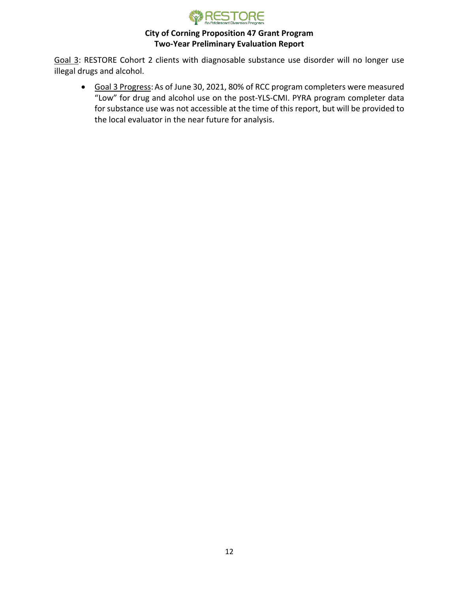

Goal 3: RESTORE Cohort 2 clients with diagnosable substance use disorder will no longer use illegal drugs and alcohol.

• Goal 3 Progress:As of June 30, 2021, 80% of RCC program completers were measured "Low" for drug and alcohol use on the post-YLS-CMI. PYRA program completer data for substance use was not accessible at the time of this report, but will be provided to the local evaluator in the near future for analysis.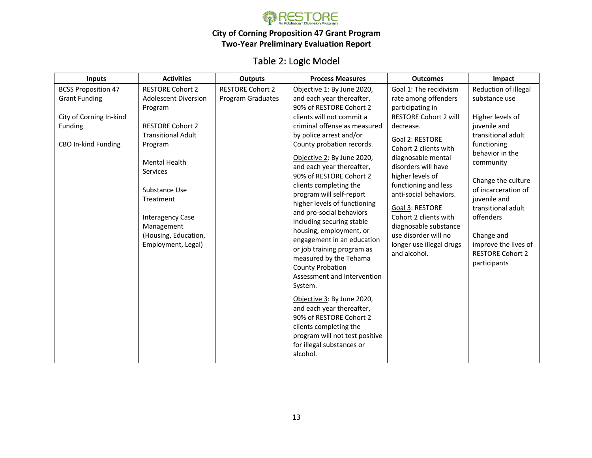

# Table 2: Logic Model

| <b>Inputs</b>                                                                                                   | <b>Activities</b>                                                                                                                                                                                                                                                                             | <b>Outputs</b>                                      | <b>Process Measures</b>                                                                                                                                                                                                                                                                                                                                                                                                                                                                                                                                                                                                                                                                                                                                                                                                       | <b>Outcomes</b>                                                                                                                                                                                                                                                                                                                                                                                                         | Impact                                                                                                                                                                                                                                                                                                                          |
|-----------------------------------------------------------------------------------------------------------------|-----------------------------------------------------------------------------------------------------------------------------------------------------------------------------------------------------------------------------------------------------------------------------------------------|-----------------------------------------------------|-------------------------------------------------------------------------------------------------------------------------------------------------------------------------------------------------------------------------------------------------------------------------------------------------------------------------------------------------------------------------------------------------------------------------------------------------------------------------------------------------------------------------------------------------------------------------------------------------------------------------------------------------------------------------------------------------------------------------------------------------------------------------------------------------------------------------------|-------------------------------------------------------------------------------------------------------------------------------------------------------------------------------------------------------------------------------------------------------------------------------------------------------------------------------------------------------------------------------------------------------------------------|---------------------------------------------------------------------------------------------------------------------------------------------------------------------------------------------------------------------------------------------------------------------------------------------------------------------------------|
| <b>BCSS Proposition 47</b><br><b>Grant Funding</b><br>City of Corning In-kind<br>Funding<br>CBO In-kind Funding | <b>RESTORE Cohort 2</b><br><b>Adolescent Diversion</b><br>Program<br><b>RESTORE Cohort 2</b><br><b>Transitional Adult</b><br>Program<br><b>Mental Health</b><br>Services<br>Substance Use<br>Treatment<br><b>Interagency Case</b><br>Management<br>(Housing, Education,<br>Employment, Legal) | <b>RESTORE Cohort 2</b><br><b>Program Graduates</b> | Objective 1: By June 2020,<br>and each year thereafter,<br>90% of RESTORE Cohort 2<br>clients will not commit a<br>criminal offense as measured<br>by police arrest and/or<br>County probation records.<br>Objective 2: By June 2020,<br>and each year thereafter,<br>90% of RESTORE Cohort 2<br>clients completing the<br>program will self-report<br>higher levels of functioning<br>and pro-social behaviors<br>including securing stable<br>housing, employment, or<br>engagement in an education<br>or job training program as<br>measured by the Tehama<br><b>County Probation</b><br>Assessment and Intervention<br>System.<br>Objective 3: By June 2020,<br>and each year thereafter,<br>90% of RESTORE Cohort 2<br>clients completing the<br>program will not test positive<br>for illegal substances or<br>alcohol. | Goal 1: The recidivism<br>rate among offenders<br>participating in<br><b>RESTORE Cohort 2 will</b><br>decrease.<br>Goal 2: RESTORE<br>Cohort 2 clients with<br>diagnosable mental<br>disorders will have<br>higher levels of<br>functioning and less<br>anti-social behaviors.<br>Goal 3: RESTORE<br>Cohort 2 clients with<br>diagnosable substance<br>use disorder will no<br>longer use illegal drugs<br>and alcohol. | Reduction of illegal<br>substance use<br>Higher levels of<br>juvenile and<br>transitional adult<br>functioning<br>behavior in the<br>community<br>Change the culture<br>of incarceration of<br>juvenile and<br>transitional adult<br>offenders<br>Change and<br>improve the lives of<br><b>RESTORE Cohort 2</b><br>participants |